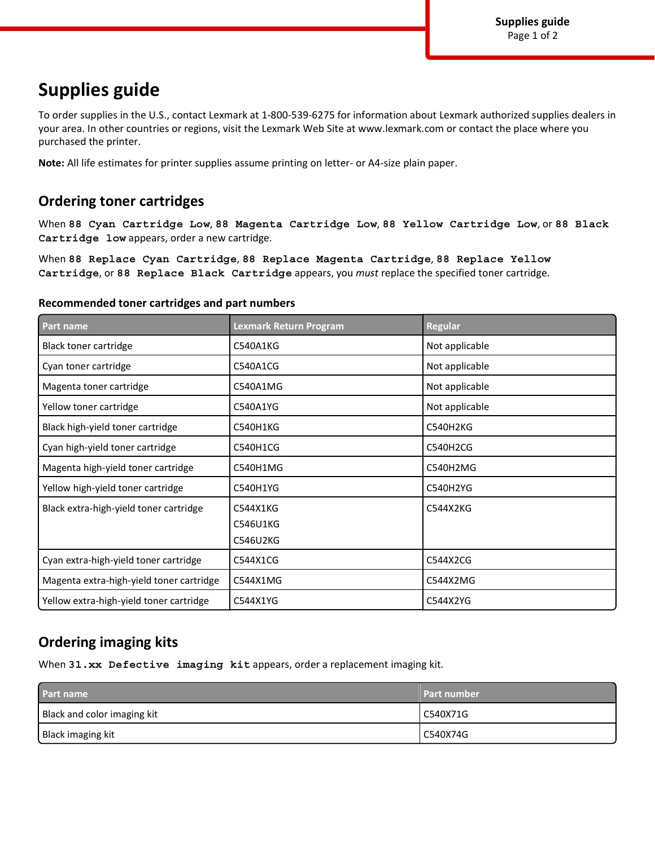# **Supplies guide**

To order supplies in the U.S., contact Lexmark at 1-800-539-6275 for information about Lexmark authorized supplies dealers in your area. In other countries or regions, visit the Lexmark Web Site at www.lexmark.com or contact the place where you purchased the printer.

**Note:** All life estimates for printer supplies assume printing on letter- or A4-size plain paper.

### **Ordering toner cartridges**

When **88 Cyan Cartridge Low**, **88 Magenta Cartridge Low**, **88 Yellow Cartridge Low**, or **88 Black Cartridge low** appears, order a new cartridge.

When **88 Replace Cyan Cartridge**, **88 Replace Magenta Cartridge**, **88 Replace Yellow Cartridge**, or **88 Replace Black Cartridge** appears, you *must* replace the specified toner cartridge.

#### **Recommended toner cartridges and part numbers**

| Part name                                | Lexmark Return Program           | Regular         |
|------------------------------------------|----------------------------------|-----------------|
| Black toner cartridge                    | C540A1KG                         | Not applicable  |
| Cyan toner cartridge                     | C540A1CG                         | Not applicable  |
| Magenta toner cartridge                  | C540A1MG                         | Not applicable  |
| Yellow toner cartridge                   | C540A1YG                         | Not applicable  |
| Black high-yield toner cartridge         | <b>C540H1KG</b>                  | C540H2KG        |
| Cyan high-yield toner cartridge          | <b>C540H1CG</b>                  | <b>C540H2CG</b> |
| Magenta high-yield toner cartridge       | C540H1MG                         | C540H2MG        |
| Yellow high-yield toner cartridge        | <b>C540H1YG</b>                  | C540H2YG        |
| Black extra-high-yield toner cartridge   | C544X1KG<br>C546U1KG<br>C546U2KG | C544X2KG        |
| Cyan extra-high-yield toner cartridge    | C544X1CG                         | C544X2CG        |
| Magenta extra-high-yield toner cartridge | C544X1MG                         | C544X2MG        |
| Yellow extra-high-yield toner cartridge  | C544X1YG                         | C544X2YG        |

### **Ordering imaging kits**

When **31.xx Defective imaging kit** appears, order a replacement imaging kit.

| Part name                   | <b>Part number</b> |
|-----------------------------|--------------------|
| Black and color imaging kit | l C540X71G         |
| Black imaging kit           | l C540X74G         |